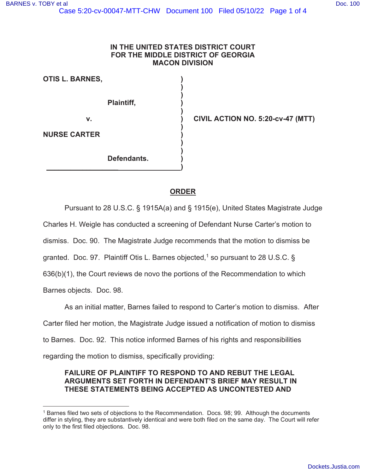### **IN THE UNITED STATES DISTRICT COURT FOR THE MIDDLE DISTRICT OF GEORGIA MACON DIVISION**

 $\rightarrow$ 

 $\rightarrow$ 

 **)** 

 **)** 

**OTIS L. BARNES, )** 

**Plaintiff, )** 

 **)** 

 **)** 

**\_\_\_\_\_\_\_\_\_\_\_\_\_\_\_\_\_\_ )** 

**v. ) CIVIL ACTION NO. 5:20-cv-47 (MTT)** 

**NURSE CARTER )** 

**Defendants. )** 

# **ORDER**

Pursuant to 28 U.S.C. § 1915A(a) and § 1915(e), United States Magistrate Judge

Charles H. Weigle has conducted a screening of Defendant Nurse Carter's motion to

dismiss. Doc. 90. The Magistrate Judge recommends that the motion to dismiss be

granted. Doc. 97. Plaintiff Otis L. Barnes objected,<sup>1</sup> so pursuant to 28 U.S.C. §

636(b)(1), the Court reviews de novo the portions of the Recommendation to which

Barnes objects. Doc. 98.

As an initial matter, Barnes failed to respond to Carter's motion to dismiss. After Carter filed her motion, the Magistrate Judge issued a notification of motion to dismiss

to Barnes. Doc. 92. This notice informed Barnes of his rights and responsibilities

regarding the motion to dismiss, specifically providing:

## **FAILURE OF PLAINTIFF TO RESPOND TO AND REBUT THE LEGAL ARGUMENTS SET FORTH IN DEFENDANT'S BRIEF MAY RESULT IN THESE STATEMENTS BEING ACCEPTED AS UNCONTESTED AND**

<sup>1</sup> Barnes filed two sets of objections to the Recommendation. Docs. 98; 99. Although the documents differ in styling, they are substantively identical and were both filed on the same day. The Court will refer only to the first filed objections. Doc. 98.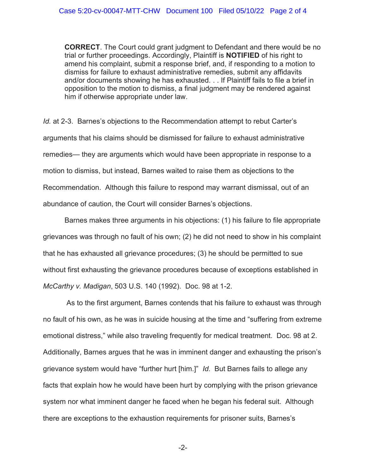**CORRECT**. The Court could grant judgment to Defendant and there would be no trial or further proceedings. Accordingly, Plaintiff is **NOTIFIED** of his right to amend his complaint, submit a response brief, and, if responding to a motion to dismiss for failure to exhaust administrative remedies, submit any affidavits and/or documents showing he has exhausted. . . If Plaintiff fails to file a brief in opposition to the motion to dismiss, a final judgment may be rendered against him if otherwise appropriate under law.

*Id.* at 2-3. Barnes's objections to the Recommendation attempt to rebut Carter's arguments that his claims should be dismissed for failure to exhaust administrative remedies— they are arguments which would have been appropriate in response to a motion to dismiss, but instead, Barnes waited to raise them as objections to the Recommendation. Although this failure to respond may warrant dismissal, out of an abundance of caution, the Court will consider Barnes's objections.

Barnes makes three arguments in his objections: (1) his failure to file appropriate grievances was through no fault of his own; (2) he did not need to show in his complaint that he has exhausted all grievance procedures; (3) he should be permitted to sue without first exhausting the grievance procedures because of exceptions established in *McCarthy v. Madigan*, 503 U.S. 140 (1992). Doc. 98 at 1-2.

 As to the first argument, Barnes contends that his failure to exhaust was through no fault of his own, as he was in suicide housing at the time and "suffering from extreme emotional distress," while also traveling frequently for medical treatment. Doc. 98 at 2. Additionally, Barnes argues that he was in imminent danger and exhausting the prison's grievance system would have "further hurt [him.]" *Id.* But Barnes fails to allege any facts that explain how he would have been hurt by complying with the prison grievance system nor what imminent danger he faced when he began his federal suit. Although there are exceptions to the exhaustion requirements for prisoner suits, Barnes's

-2-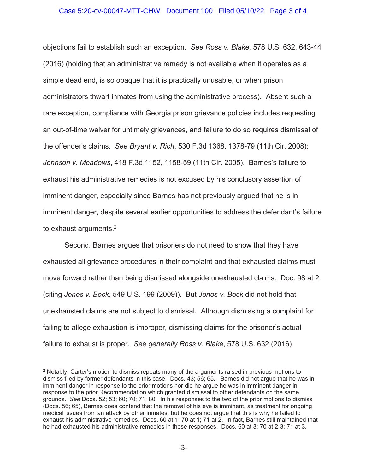### Case 5:20-cv-00047-MTT-CHW Document 100 Filed 05/10/22 Page 3 of 4

objections fail to establish such an exception. *See Ross v. Blake,* 578 U.S. 632, 643-44 (2016) (holding that an administrative remedy is not available when it operates as a simple dead end, is so opaque that it is practically unusable, or when prison administrators thwart inmates from using the administrative process). Absent such a rare exception, compliance with Georgia prison grievance policies includes requesting an out-of-time waiver for untimely grievances, and failure to do so requires dismissal of the offender's claims. *See Bryant v. Rich*, 530 F.3d 1368, 1378-79 (11th Cir. 2008); *Johnson v. Meadows*, 418 F.3d 1152, 1158-59 (11th Cir. 2005). Barnes's failure to exhaust his administrative remedies is not excused by his conclusory assertion of imminent danger, especially since Barnes has not previously argued that he is in imminent danger, despite several earlier opportunities to address the defendant's failure to exhaust arguments. $^2$ 

Second, Barnes argues that prisoners do not need to show that they have exhausted all grievance procedures in their complaint and that exhausted claims must move forward rather than being dismissed alongside unexhausted claims. Doc. 98 at 2 (citing *Jones v. Bock,* 549 U.S. 199 (2009)). But *Jones v. Bock* did not hold that unexhausted claims are not subject to dismissal. Although dismissing a complaint for failing to allege exhaustion is improper, dismissing claims for the prisoner's actual failure to exhaust is proper. *See generally Ross v. Blake*, 578 U.S. 632 (2016)

<sup>2</sup> Notably, Carter's motion to dismiss repeats many of the arguments raised in previous motions to dismiss filed by former defendants in this case. Docs. 43; 56; 65. Barnes did not argue that he was in imminent danger in response to the prior motions nor did he argue he was in imminent danger in response to the prior Recommendation which granted dismissal to other defendants on the same grounds. *See* Docs. 52; 53; 60; 70; 71; 80. In his responses to the two of the prior motions to dismiss (Docs. 56; 65), Barnes does contend that the removal of his eye is imminent, as treatment for ongoing medical issues from an attack by other inmates, but he does not argue that this is why he failed to exhaust his administrative remedies. Docs. 60 at 1; 70 at 1; 71 at 2. In fact, Barnes still maintained that he had exhausted his administrative remedies in those responses. Docs. 60 at 3; 70 at 2-3; 71 at 3.